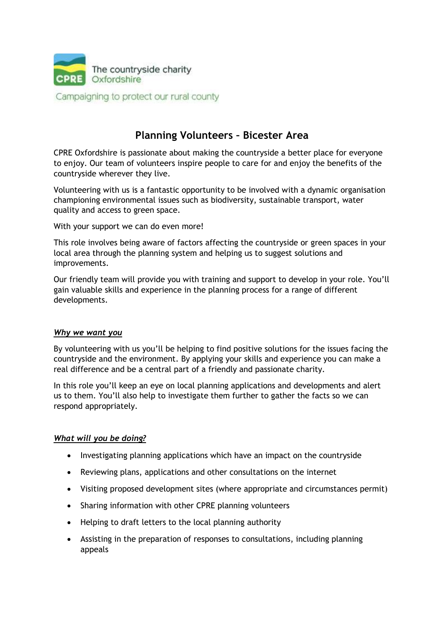

Campaigning to protect our rural county

# **Planning Volunteers – Bicester Area**

CPRE Oxfordshire is passionate about making the countryside a better place for everyone to enjoy. Our team of volunteers inspire people to care for and enjoy the benefits of the countryside wherever they live.

Volunteering with us is a fantastic opportunity to be involved with a dynamic organisation championing environmental issues such as biodiversity, sustainable transport, water quality and access to green space.

With your support we can do even more!

This role involves being aware of factors affecting the countryside or green spaces in your local area through the planning system and helping us to suggest solutions and improvements.

Our friendly team will provide you with training and support to develop in your role. You'll gain valuable skills and experience in the planning process for a range of different developments.

#### *Why we want you*

By volunteering with us you'll be helping to find positive solutions for the issues facing the countryside and the environment. By applying your skills and experience you can make a real difference and be a central part of a friendly and passionate charity.

In this role you'll keep an eye on local planning applications and developments and alert us to them. You'll also help to investigate them further to gather the facts so we can respond appropriately.

#### *What will you be doing?*

- Investigating planning applications which have an impact on the countryside
- Reviewing plans, applications and other consultations on the internet
- Visiting proposed development sites (where appropriate and circumstances permit)
- Sharing information with other CPRE planning volunteers
- Helping to draft letters to the local planning authority
- Assisting in the preparation of responses to consultations, including planning appeals